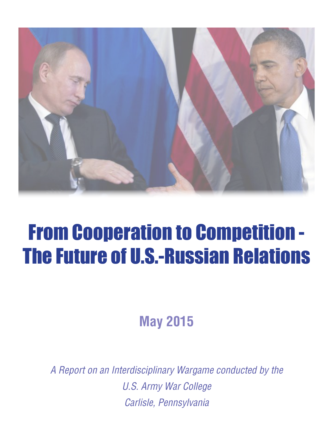

# From Cooperation to Competition - The Future of U.S.-Russian Relations

**May 2015**

*A Report on an Interdisciplinary Wargame conducted by the U.S. Army War College Carlisle, Pennsylvania*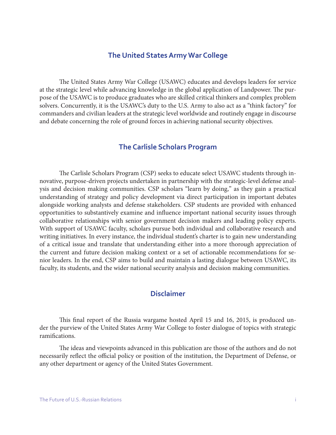#### **The United States Army War College**

The United States Army War College (USAWC) educates and develops leaders for service at the strategic level while advancing knowledge in the global application of Landpower. The purpose of the USAWC is to produce graduates who are skilled critical thinkers and complex problem solvers. Concurrently, it is the USAWC's duty to the U.S. Army to also act as a "think factory" for commanders and civilian leaders at the strategic level worldwide and routinely engage in discourse and debate concerning the role of ground forces in achieving national security objectives.

## **The Carlisle Scholars Program**

The Carlisle Scholars Program (CSP) seeks to educate select USAWC students through innovative, purpose-driven projects undertaken in partnership with the strategic-level defense analysis and decision making communities. CSP scholars "learn by doing," as they gain a practical understanding of strategy and policy development via direct participation in important debates alongside working analysts and defense stakeholders. CSP students are provided with enhanced opportunities to substantively examine and influence important national security issues through collaborative relationships with senior government decision makers and leading policy experts. With support of USAWC faculty, scholars pursue both individual and collaborative research and writing initiatives. In every instance, the individual student's charter is to gain new understanding of a critical issue and translate that understanding either into a more thorough appreciation of the current and future decision making context or a set of actionable recommendations for senior leaders. In the end, CSP aims to build and maintain a lasting dialogue between USAWC, its faculty, its students, and the wider national security analysis and decision making communities.

## **Disclaimer**

This final report of the Russia wargame hosted April 15 and 16, 2015, is produced under the purview of the United States Army War College to foster dialogue of topics with strategic ramifications.

The ideas and viewpoints advanced in this publication are those of the authors and do not necessarily reflect the official policy or position of the institution, the Department of Defense, or any other department or agency of the United States Government.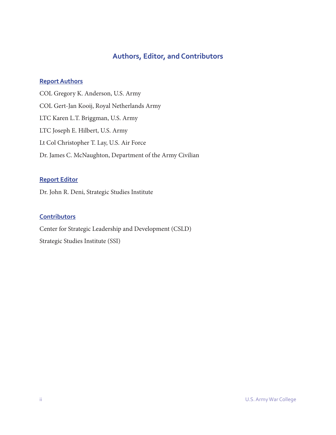## **Authors, Editor, and Contributors**

#### **Report Authors**

COL Gregory K. Anderson, U.S. Army COL Gert-Jan Kooij, Royal Netherlands Army LTC Karen L.T. Briggman, U.S. Army LTC Joseph E. Hilbert, U.S. Army Lt Col Christopher T. Lay, U.S. Air Force Dr. James C. McNaughton, Department of the Army Civilian

## **Report Editor**

Dr. John R. Deni, Strategic Studies Institute

#### **Contributors**

Center for Strategic Leadership and Development (CSLD) Strategic Studies Institute (SSI)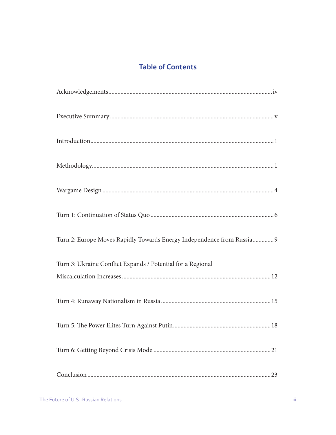## **Table of Contents**

| Turn 2: Europe Moves Rapidly Towards Energy Independence from Russia 9 |
|------------------------------------------------------------------------|
| Turn 3: Ukraine Conflict Expands / Potential for a Regional            |
|                                                                        |
|                                                                        |
|                                                                        |
|                                                                        |
| 23                                                                     |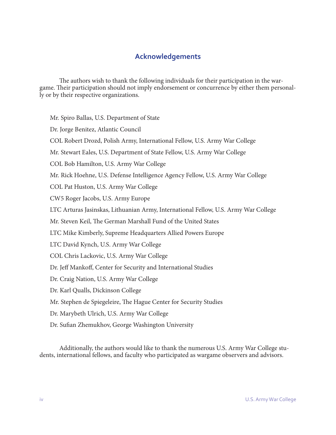## **Acknowledgements**

The authors wish to thank the following individuals for their participation in the wargame. Their participation should not imply endorsement or concurrence by either them personally or by their respective organizations.

Mr. Spiro Ballas, U.S. Department of State

Dr. Jorge Benitez, Atlantic Council

COL Robert Drozd, Polish Army, International Fellow, U.S. Army War College

Mr. Stewart Eales, U.S. Department of State Fellow, U.S. Army War College

COL Bob Hamilton, U.S. Army War College

Mr. Rick Hoehne, U.S. Defense Intelligence Agency Fellow, U.S. Army War College

COL Pat Huston, U.S. Army War College

CW5 Roger Jacobs, U.S. Army Europe

LTC Arturas Jasinskas, Lithuanian Army, International Fellow, U.S. Army War College

Mr. Steven Keil, The German Marshall Fund of the United States

LTC Mike Kimberly, Supreme Headquarters Allied Powers Europe

LTC David Kynch, U.S. Army War College

COL Chris Lackovic, U.S. Army War College

Dr. Jeff Mankoff, Center for Security and International Studies

Dr. Craig Nation, U.S. Army War College

Dr. Karl Qualls, Dickinson College

Mr. Stephen de Spiegeleire, The Hague Center for Security Studies

Dr. Marybeth Ulrich, U.S. Army War College

Dr. Sufian Zhemukhov, George Washington University

Additionally, the authors would like to thank the numerous U.S. Army War College students, international fellows, and faculty who participated as wargame observers and advisors.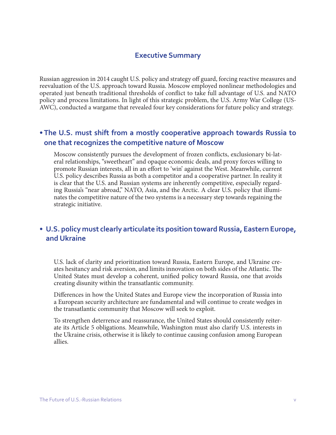## **Executive Summary**

Russian aggression in 2014 caught U.S. policy and strategy off guard, forcing reactive measures and reevaluation of the U.S. approach toward Russia. Moscow employed nonlinear methodologies and operated just beneath traditional thresholds of conflict to take full advantage of U.S. and NATO policy and process limitations. In light of this strategic problem, the U.S. Army War College (US-AWC), conducted a wargame that revealed four key considerations for future policy and strategy.

## **• The U.S. must shift from a mostly cooperative approach towards Russia to one that recognizes the competitive nature of Moscow**

Moscow consistently pursues the development of frozen conflicts, exclusionary bi-lateral relationships, "sweetheart" and opaque economic deals, and proxy forces willing to promote Russian interests, all in an effort to 'win' against the West. Meanwhile, current U.S. policy describes Russia as both a competitor and a cooperative partner. In reality it is clear that the U.S. and Russian systems are inherently competitive, especially regarding Russia's "near abroad," NATO, Asia, and the Arctic. A clear U.S. policy that illuminates the competitive nature of the two systems is a necessary step towards regaining the strategic initiative.

## **• U.S. policy must clearly articulate its position toward Russia, Eastern Europe, and Ukraine**

U.S. lack of clarity and prioritization toward Russia, Eastern Europe, and Ukraine creates hesitancy and risk aversion, and limits innovation on both sides of the Atlantic. The United States must develop a coherent, unified policy toward Russia, one that avoids creating disunity within the transatlantic community.

Differences in how the United States and Europe view the incorporation of Russia into a European security architecture are fundamental and will continue to create wedges in the transatlantic community that Moscow will seek to exploit.

To strengthen deterrence and reassurance, the United States should consistently reiterate its Article 5 obligations. Meanwhile, Washington must also clarify U.S. interests in the Ukraine crisis, otherwise it is likely to continue causing confusion among European allies.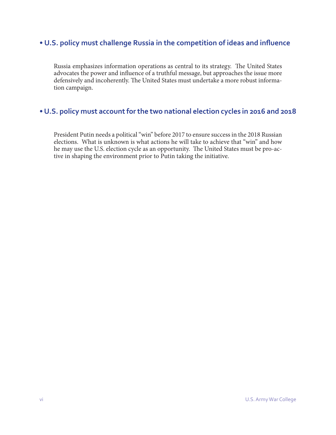## **• U.S. policy must challenge Russia in the competition of ideas and influence**

Russia emphasizes information operations as central to its strategy. The United States advocates the power and influence of a truthful message, but approaches the issue more defensively and incoherently. The United States must undertake a more robust information campaign.

## **• U.S. policy must account for the two national election cycles in 2016 and 2018**

President Putin needs a political "win" before 2017 to ensure success in the 2018 Russian elections. What is unknown is what actions he will take to achieve that "win" and how he may use the U.S. election cycle as an opportunity. The United States must be pro-active in shaping the environment prior to Putin taking the initiative.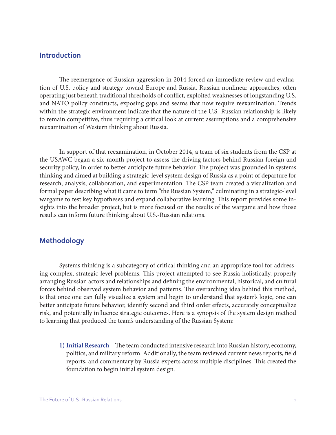#### **Introduction**

The reemergence of Russian aggression in 2014 forced an immediate review and evaluation of U.S. policy and strategy toward Europe and Russia. Russian nonlinear approaches, often operating just beneath traditional thresholds of conflict, exploited weaknesses of longstanding U.S. and NATO policy constructs, exposing gaps and seams that now require reexamination. Trends within the strategic environment indicate that the nature of the U.S.-Russian relationship is likely to remain competitive, thus requiring a critical look at current assumptions and a comprehensive reexamination of Western thinking about Russia.

In support of that reexamination, in October 2014, a team of six students from the CSP at the USAWC began a six-month project to assess the driving factors behind Russian foreign and security policy, in order to better anticipate future behavior. The project was grounded in systems thinking and aimed at building a strategic-level system design of Russia as a point of departure for research, analysis, collaboration, and experimentation. The CSP team created a visualization and formal paper describing what it came to term "the Russian System," culminating in a strategic-level wargame to test key hypotheses and expand collaborative learning. This report provides some insights into the broader project, but is more focused on the results of the wargame and how those results can inform future thinking about U.S.-Russian relations.

#### **Methodology**

Systems thinking is a subcategory of critical thinking and an appropriate tool for addressing complex, strategic-level problems. This project attempted to see Russia holistically, properly arranging Russian actors and relationships and defining the environmental, historical, and cultural forces behind observed system behavior and patterns. The overarching idea behind this method, is that once one can fully visualize a system and begin to understand that system's logic, one can better anticipate future behavior, identify second and third order effects, accurately conceptualize risk, and potentially influence strategic outcomes. Here is a synopsis of the system design method to learning that produced the team's understanding of the Russian System:

**1) Initial Research –** The team conducted intensive research into Russian history, economy, politics, and military reform. Additionally, the team reviewed current news reports, field reports, and commentary by Russia experts across multiple disciplines. This created the foundation to begin initial system design.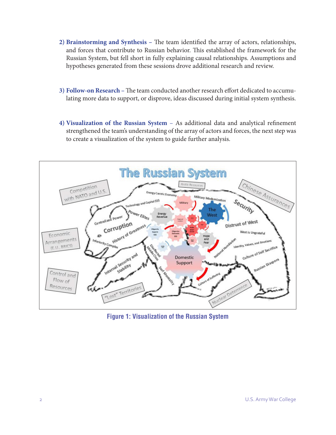- **2) Brainstorming and Synthesis –** The team identified the array of actors, relationships, and forces that contribute to Russian behavior. This established the framework for the Russian System, but fell short in fully explaining causal relationships. Assumptions and hypotheses generated from these sessions drove additional research and review.
- **3) Follow-on Research –** The team conducted another research effort dedicated to accumulating more data to support, or disprove, ideas discussed during initial system synthesis.
- **4) Visualization of the Russian System** As additional data and analytical refinement strengthened the team's understanding of the array of actors and forces, the next step was to create a visualization of the system to guide further analysis.



**Figure 1: Visualization of the Russian System**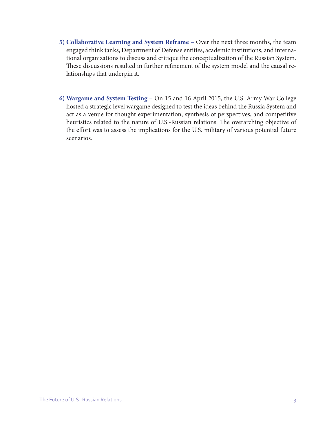- **5) Collaborative Learning and System Reframe** Over the next three months, the team engaged think tanks, Department of Defense entities, academic institutions, and international organizations to discuss and critique the conceptualization of the Russian System. These discussions resulted in further refinement of the system model and the causal relationships that underpin it.
- **6) Wargame and System Testing** On 15 and 16 April 2015, the U.S. Army War College hosted a strategic level wargame designed to test the ideas behind the Russia System and act as a venue for thought experimentation, synthesis of perspectives, and competitive heuristics related to the nature of U.S.-Russian relations. The overarching objective of the effort was to assess the implications for the U.S. military of various potential future scenarios.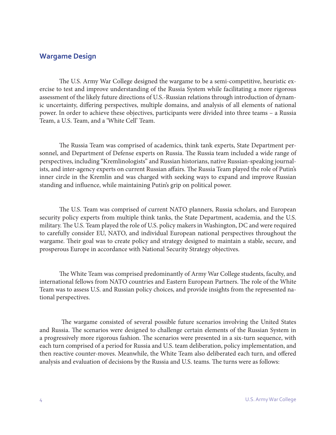## **Wargame Design**

The U.S. Army War College designed the wargame to be a semi-competitive, heuristic exercise to test and improve understanding of the Russia System while facilitating a more rigorous assessment of the likely future directions of U.S.-Russian relations through introduction of dynamic uncertainty, differing perspectives, multiple domains, and analysis of all elements of national power. In order to achieve these objectives, participants were divided into three teams – a Russia Team, a U.S. Team, and a 'White Cell' Team.

The Russia Team was comprised of academics, think tank experts, State Department personnel, and Department of Defense experts on Russia. The Russia team included a wide range of perspectives, including "Kremlinologists" and Russian historians, native Russian-speaking journalists, and inter-agency experts on current Russian affairs. The Russia Team played the role of Putin's inner circle in the Kremlin and was charged with seeking ways to expand and improve Russian standing and influence, while maintaining Putin's grip on political power.

The U.S. Team was comprised of current NATO planners, Russia scholars, and European security policy experts from multiple think tanks, the State Department, academia, and the U.S. military. The U.S. Team played the role of U.S. policy makers in Washington, DC and were required to carefully consider EU, NATO, and individual European national perspectives throughout the wargame. Their goal was to create policy and strategy designed to maintain a stable, secure, and prosperous Europe in accordance with National Security Strategy objectives.

The White Team was comprised predominantly of Army War College students, faculty, and international fellows from NATO countries and Eastern European Partners. The role of the White Team was to assess U.S. and Russian policy choices, and provide insights from the represented national perspectives.

 The wargame consisted of several possible future scenarios involving the United States and Russia. The scenarios were designed to challenge certain elements of the Russian System in a progressively more rigorous fashion. The scenarios were presented in a six-turn sequence, with each turn comprised of a period for Russia and U.S. team deliberation, policy implementation, and then reactive counter-moves. Meanwhile, the White Team also deliberated each turn, and offered analysis and evaluation of decisions by the Russia and U.S. teams. The turns were as follows: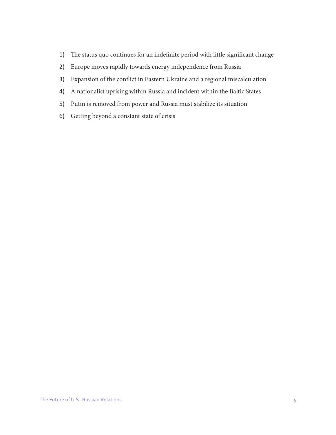- 1) The status quo continues for an indefinite period with little significant change
- 2) Europe moves rapidly towards energy independence from Russia
- 3) Expansion of the conflict in Eastern Ukraine and a regional miscalculation
- 4) A nationalist uprising within Russia and incident within the Baltic States
- 5) Putin is removed from power and Russia must stabilize its situation
- 6) Getting beyond a constant state of crisis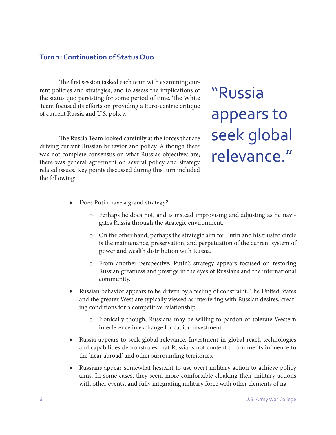#### **Turn 1: Continuation of Status Quo**

The first session tasked each team with examining current policies and strategies, and to assess the implications of the status quo persisting for some period of time. The White Team focused its efforts on providing a Euro-centric critique of current Russia and U.S. policy.

The Russia Team looked carefully at the forces that are driving current Russian behavior and policy. Although there was not complete consensus on what Russia's objectives are, there was general agreement on several policy and strategy related issues. Key points discussed during this turn included the following:

"Russia appears to seek global relevance."

- Does Putin have a grand strategy?
	- o Perhaps he does not, and is instead improvising and adjusting as he navigates Russia through the strategic environment.
	- o On the other hand, perhaps the strategic aim for Putin and his trusted circle is the maintenance, preservation, and perpetuation of the current system of power and wealth distribution with Russia.
	- o From another perspective, Putin's strategy appears focused on restoring Russian greatness and prestige in the eyes of Russians and the international community.
- Russian behavior appears to be driven by a feeling of constraint. The United States and the greater West are typically viewed as interfering with Russian desires, creating conditions for a competitive relationship.
	- o Ironically though, Russians may be willing to pardon or tolerate Western interference in exchange for capital investment.
- Russia appears to seek global relevance. Investment in global reach technologies and capabilities demonstrates that Russia is not content to confine its influence to the 'near abroad' and other surrounding territories.
- Russians appear somewhat hesitant to use overt military action to achieve policy aims. In some cases, they seem more comfortable cloaking their military actions with other events, and fully integrating military force with other elements of na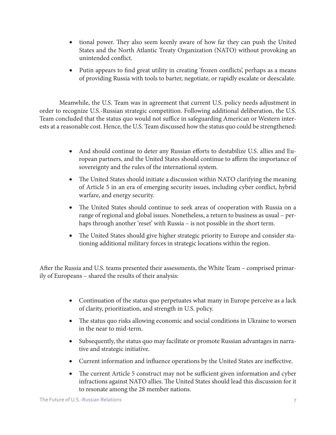- tional power. They also seem keenly aware of how far they can push the United States and the North Atlantic Treaty Organization (NATO) without provoking an unintended conflict.
- Putin appears to find great utility in creating 'frozen conflicts', perhaps as a means of providing Russia with tools to barter, negotiate, or rapidly escalate or deescalate.

Meanwhile, the U.S. Team was in agreement that current U.S. policy needs adjustment in order to recognize U.S.-Russian strategic competition. Following additional deliberation, the U.S. Team concluded that the status quo would not suffice in safeguarding American or Western interests at a reasonable cost. Hence, the U.S. Team discussed how the status quo could be strengthened:

- And should continue to deter any Russian efforts to destabilize U.S. allies and European partners, and the United States should continue to affirm the importance of sovereignty and the rules of the international system.
- The United States should initiate a discussion within NATO clarifying the meaning of Article 5 in an era of emerging security issues, including cyber conflict, hybrid warfare, and energy security.
- The United States should continue to seek areas of cooperation with Russia on a range of regional and global issues. Nonetheless, a return to business as usual – perhaps through another 'reset' with Russia – is not possible in the short term.
- The United States should give higher strategic priority to Europe and consider stationing additional military forces in strategic locations within the region.

After the Russia and U.S. teams presented their assessments, the White Team – comprised primarily of Europeans – shared the results of their analysis:

- Continuation of the status quo perpetuates what many in Europe perceive as a lack of clarity, prioritization, and strength in U.S. policy.
- The status quo risks allowing economic and social conditions in Ukraine to worsen in the near to mid-term.
- Subsequently, the status quo may facilitate or promote Russian advantages in narrative and strategic initiative.
- Current information and influence operations by the United States are ineffective.
- The current Article 5 construct may not be sufficient given information and cyber infractions against NATO allies. The United States should lead this discussion for it to resonate among the 28 member nations.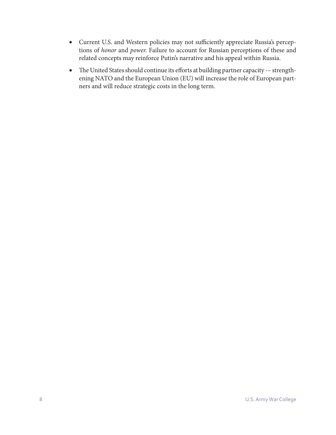- • Current U.S. and Western policies may not sufficiently appreciate Russia's perceptions of *honor* and *power.* Failure to account for Russian perceptions of these and related concepts may reinforce Putin's narrative and his appeal within Russia.
- The United States should continue its efforts at building partner capacity -- strengthening NATO and the European Union (EU) will increase the role of European partners and will reduce strategic costs in the long term.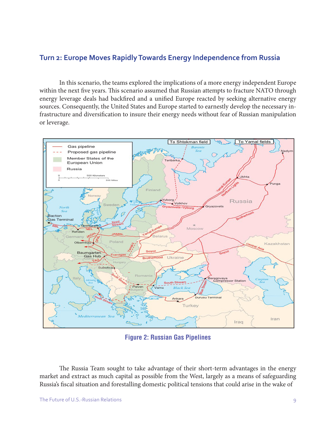## **Turn 2: Europe Moves Rapidly Towards Energy Independence from Russia**

In this scenario, the teams explored the implications of a more energy independent Europe within the next five years. This scenario assumed that Russian attempts to fracture NATO through energy leverage deals had backfired and a unified Europe reacted by seeking alternative energy sources. Consequently, the United States and Europe started to earnestly develop the necessary infrastructure and diversification to insure their energy needs without fear of Russian manipulation or leverage.



**Figure 2: Russian Gas Pipelines**

The Russia Team sought to take advantage of their short-term advantages in the energy market and extract as much capital as possible from the West, largely as a means of safeguarding Russia's fiscal situation and forestalling domestic political tensions that could arise in the wake of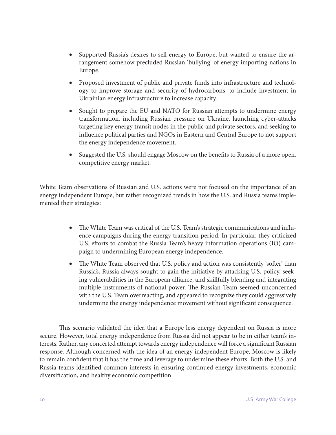- Supported Russia's desires to sell energy to Europe, but wanted to ensure the arrangement somehow precluded Russian 'bullying' of energy importing nations in Europe.
- • Proposed investment of public and private funds into infrastructure and technology to improve storage and security of hydrocarbons, to include investment in Ukrainian energy infrastructure to increase capacity.
- Sought to prepare the EU and NATO for Russian attempts to undermine energy transformation, including Russian pressure on Ukraine, launching cyber-attacks targeting key energy transit nodes in the public and private sectors, and seeking to influence political parties and NGOs in Eastern and Central Europe to not support the energy independence movement.
- Suggested the U.S. should engage Moscow on the benefits to Russia of a more open, competitive energy market.

White Team observations of Russian and U.S. actions were not focused on the importance of an energy independent Europe, but rather recognized trends in how the U.S. and Russia teams implemented their strategies:

- The White Team was critical of the U.S. Team's strategic communications and influence campaigns during the energy transition period. In particular, they criticized U.S. efforts to combat the Russia Team's heavy information operations (IO) campaign to undermining European energy independence.
- The White Team observed that U.S. policy and action was consistently 'softer' than Russia's. Russia always sought to gain the initiative by attacking U.S. policy, seeking vulnerabilities in the European alliance, and skillfully blending and integrating multiple instruments of national power. The Russian Team seemed unconcerned with the U.S. Team overreacting, and appeared to recognize they could aggressively undermine the energy independence movement without significant consequence.

This scenario validated the idea that a Europe less energy dependent on Russia is more secure. However, total energy independence from Russia did not appear to be in either team's interests. Rather, any concerted attempt towards energy independence will force a significant Russian response. Although concerned with the idea of an energy independent Europe, Moscow is likely to remain confident that it has the time and leverage to undermine these efforts. Both the U.S. and Russia teams identified common interests in ensuring continued energy investments, economic diversification, and healthy economic competition.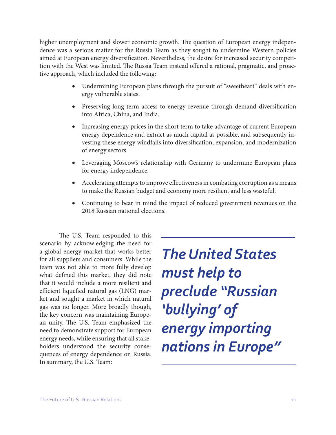higher unemployment and slower economic growth. The question of European energy independence was a serious matter for the Russia Team as they sought to undermine Western policies aimed at European energy diversification. Nevertheless, the desire for increased security competition with the West was limited. The Russia Team instead offered a rational, pragmatic, and proactive approach, which included the following:

- Undermining European plans through the pursuit of "sweetheart" deals with energy vulnerable states.
- Preserving long term access to energy revenue through demand diversification into Africa, China, and India.
- Increasing energy prices in the short term to take advantage of current European energy dependence and extract as much capital as possible, and subsequently investing these energy windfalls into diversification, expansion, and modernization of energy sectors.
- • Leveraging Moscow's relationship with Germany to undermine European plans for energy independence.
- Accelerating attempts to improve effectiveness in combating corruption as a means to make the Russian budget and economy more resilient and less wasteful.
- Continuing to bear in mind the impact of reduced government revenues on the 2018 Russian national elections.

The U.S. Team responded to this scenario by acknowledging the need for a global energy market that works better for all suppliers and consumers. While the team was not able to more fully develop what defined this market, they did note that it would include a more resilient and efficient liquefied natural gas (LNG) market and sought a market in which natural gas was no longer. More broadly though, the key concern was maintaining European unity. The U.S. Team emphasized the need to demonstrate support for European energy needs, while ensuring that all stakeholders understood the security consequences of energy dependence on Russia. In summary, the U.S. Team:

*The United States must help to preclude "Russian 'bullying' of energy importing nations in Europe"*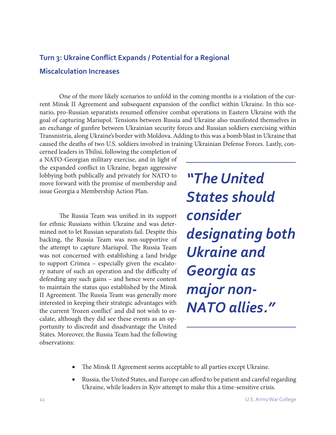# **Turn 3: Ukraine Conflict Expands / Potential for a Regional Miscalculation Increases**

One of the more likely scenarios to unfold in the coming months is a violation of the current Minsk II Agreement and subsequent expansion of the conflict within Ukraine. In this scenario, pro-Russian separatists resumed offensive combat operations in Eastern Ukraine with the goal of capturing Mariupol. Tensions between Russia and Ukraine also manifested themselves in an exchange of gunfire between Ukrainian security forces and Russian soldiers exercising within Transnistria, along Ukraine's border with Moldova. Adding to this was a bomb blast in Ukraine that caused the deaths of two U.S. soldiers involved in training Ukrainian Defense Forces. Lastly, con-

cerned leaders in Tbilisi, following the completion of a NATO-Georgian military exercise, and in light of the expanded conflict in Ukraine, began aggressive lobbying both publically and privately for NATO to move forward with the promise of membership and issue Georgia a Membership Action Plan.

The Russia Team was unified in its support for ethnic Russians within Ukraine and was determined not to let Russian separatists fail. Despite this backing, the Russia Team was non-supportive of the attempt to capture Mariupol. The Russia Team was not concerned with establishing a land bridge to support Crimea – especially given the escalatory nature of such an operation and the difficulty of defending any such gains – and hence were content to maintain the status quo established by the Minsk II Agreement. The Russia Team was generally more interested in keeping their strategic advantages with the current 'frozen conflict' and did not wish to escalate, although they did see these events as an opportunity to discredit and disadvantage the United States. Moreover, the Russia Team had the following observations:

*"The United States should consider designating both Ukraine and Georgia as major non-NATO allies."*

- The Minsk II Agreement seems acceptable to all parties except Ukraine.
- Russia, the United States, and Europe can afford to be patient and careful regarding Ukraine, while leaders in Kyiv attempt to make this a time-sensitive crisis.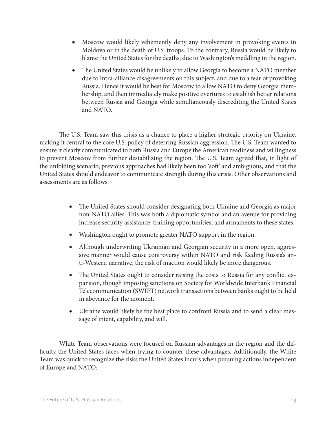- Moscow would likely vehemently deny any involvement in provoking events in Moldova or in the death of U.S. troops. To the contrary, Russia would be likely to blame the United States for the deaths, due to Washington's meddling in the region.
- The United States would be unlikely to allow Georgia to become a NATO member due to intra-alliance disagreements on this subject, and due to a fear of provoking Russia. Hence it would be best for Moscow to allow NATO to deny Georgia membership, and then immediately make positive overtures to establish better relations between Russia and Georgia while simultaneously discrediting the United States and NATO.

The U.S. Team saw this crisis as a chance to place a higher strategic priority on Ukraine, making it central to the core U.S. policy of deterring Russian aggression. The U.S. Team wanted to ensure it clearly communicated to both Russia and Europe the American readiness and willingness to prevent Moscow from further destabilizing the region. The U.S. Team agreed that, in light of the unfolding scenario, previous approaches had likely been too 'soft' and ambiguous, and that the United States should endeavor to communicate strength during this crisis. Other observations and assessments are as follows:

- The United States should consider designating both Ukraine and Georgia as major non-NATO allies. This was both a diplomatic symbol and an avenue for providing increase security assistance, training opportunities, and armaments to these states.
- Washington ought to promote greater NATO support in the region.
- Although underwriting Ukrainian and Georgian security in a more open, aggressive manner would cause controversy within NATO and risk feeding Russia's anti-Western narrative, the risk of inaction would likely be more dangerous.
- The United States ought to consider raising the costs to Russia for any conflict expansion, though imposing sanctions on Society for Worldwide Interbank Financial Telecommunication (SWIFT) network transactions between banks ought to be held in abeyance for the moment.
- Ukraine would likely be the best place to confront Russia and to send a clear message of intent, capability, and will.

White Team observations were focused on Russian advantages in the region and the difficulty the United States faces when trying to counter these advantages. Additionally, the White Team was quick to recognize the risks the United States incurs when pursuing actions independent of Europe and NATO: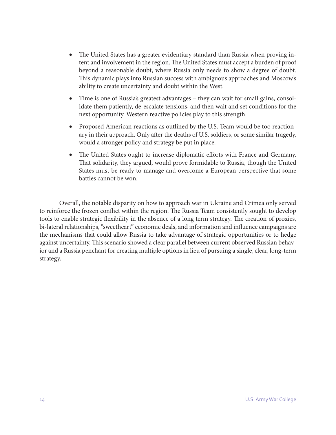- The United States has a greater evidentiary standard than Russia when proving intent and involvement in the region. The United States must accept a burden of proof beyond a reasonable doubt, where Russia only needs to show a degree of doubt. This dynamic plays into Russian success with ambiguous approaches and Moscow's ability to create uncertainty and doubt within the West.
- Time is one of Russia's greatest advantages they can wait for small gains, consolidate them patiently, de-escalate tensions, and then wait and set conditions for the next opportunity. Western reactive policies play to this strength.
- Proposed American reactions as outlined by the U.S. Team would be too reactionary in their approach. Only after the deaths of U.S. soldiers, or some similar tragedy, would a stronger policy and strategy be put in place.
- The United States ought to increase diplomatic efforts with France and Germany. That solidarity, they argued, would prove formidable to Russia, though the United States must be ready to manage and overcome a European perspective that some battles cannot be won.

Overall, the notable disparity on how to approach war in Ukraine and Crimea only served to reinforce the frozen conflict within the region. The Russia Team consistently sought to develop tools to enable strategic flexibility in the absence of a long term strategy. The creation of proxies, bi-lateral relationships, "sweetheart" economic deals, and information and influence campaigns are the mechanisms that could allow Russia to take advantage of strategic opportunities or to hedge against uncertainty. This scenario showed a clear parallel between current observed Russian behavior and a Russia penchant for creating multiple options in lieu of pursuing a single, clear, long-term strategy.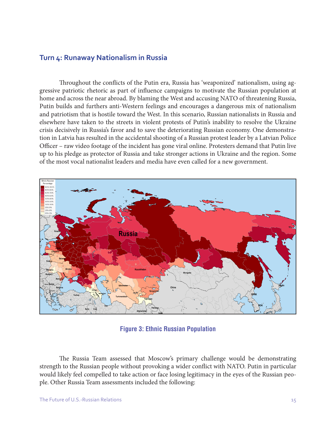#### **Turn 4: Runaway Nationalism in Russia**

Throughout the conflicts of the Putin era, Russia has 'weaponized' nationalism, using aggressive patriotic rhetoric as part of influence campaigns to motivate the Russian population at home and across the near abroad. By blaming the West and accusing NATO of threatening Russia, Putin builds and furthers anti-Western feelings and encourages a dangerous mix of nationalism and patriotism that is hostile toward the West. In this scenario, Russian nationalists in Russia and elsewhere have taken to the streets in violent protests of Putin's inability to resolve the Ukraine crisis decisively in Russia's favor and to save the deteriorating Russian economy. One demonstration in Latvia has resulted in the accidental shooting of a Russian protest leader by a Latvian Police Officer – raw video footage of the incident has gone viral online. Protesters demand that Putin live up to his pledge as protector of Russia and take stronger actions in Ukraine and the region. Some of the most vocal nationalist leaders and media have even called for a new government.



**Figure 3: Ethnic Russian Population**

The Russia Team assessed that Moscow's primary challenge would be demonstrating strength to the Russian people without provoking a wider conflict with NATO. Putin in particular would likely feel compelled to take action or face losing legitimacy in the eyes of the Russian people. Other Russia Team assessments included the following: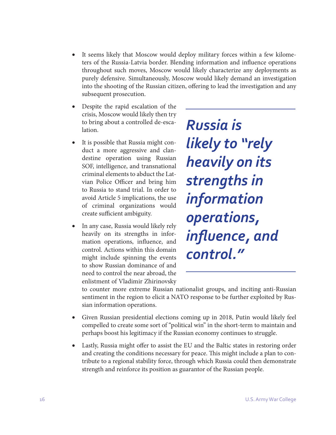- It seems likely that Moscow would deploy military forces within a few kilometers of the Russia-Latvia border. Blending information and influence operations throughout such moves, Moscow would likely characterize any deployments as purely defensive. Simultaneously, Moscow would likely demand an investigation into the shooting of the Russian citizen, offering to lead the investigation and any subsequent prosecution.
- Despite the rapid escalation of the crisis, Moscow would likely then try to bring about a controlled de-escalation.
- It is possible that Russia might conduct a more aggressive and clandestine operation using Russian SOF, intelligence, and transnational criminal elements to abduct the Latvian Police Officer and bring him to Russia to stand trial. In order to avoid Article 5 implications, the use of criminal organizations would create sufficient ambiguity.
- In any case, Russia would likely rely heavily on its strengths in information operations, influence, and control. Actions within this domain might include spinning the events to show Russian dominance of and need to control the near abroad, the enlistment of Vladimir Zhirinovsky

*Russia is likely to "rely heavily on its strengths in information operations, influence, and control."*

to counter more extreme Russian nationalist groups, and inciting anti-Russian sentiment in the region to elicit a NATO response to be further exploited by Russian information operations.

- Given Russian presidential elections coming up in 2018, Putin would likely feel compelled to create some sort of "political win" in the short-term to maintain and perhaps boost his legitimacy if the Russian economy continues to struggle.
- Lastly, Russia might offer to assist the EU and the Baltic states in restoring order and creating the conditions necessary for peace. This might include a plan to contribute to a regional stability force, through which Russia could then demonstrate strength and reinforce its position as guarantor of the Russian people.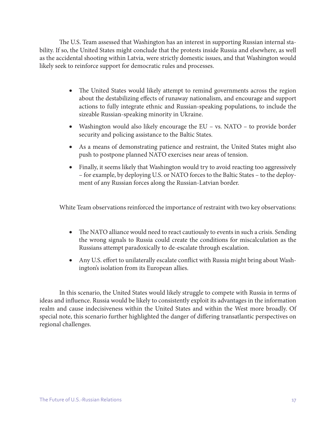The U.S. Team assessed that Washington has an interest in supporting Russian internal stability. If so, the United States might conclude that the protests inside Russia and elsewhere, as well as the accidental shooting within Latvia, were strictly domestic issues, and that Washington would likely seek to reinforce support for democratic rules and processes.

- The United States would likely attempt to remind governments across the region about the destabilizing effects of runaway nationalism, and encourage and support actions to fully integrate ethnic and Russian-speaking populations, to include the sizeable Russian-speaking minority in Ukraine.
- Washington would also likely encourage the EU vs. NATO to provide border security and policing assistance to the Baltic States.
- As a means of demonstrating patience and restraint, the United States might also push to postpone planned NATO exercises near areas of tension.
- Finally, it seems likely that Washington would try to avoid reacting too aggressively – for example, by deploying U.S. or NATO forces to the Baltic States – to the deployment of any Russian forces along the Russian-Latvian border.

White Team observations reinforced the importance of restraint with two key observations:

- The NATO alliance would need to react cautiously to events in such a crisis. Sending the wrong signals to Russia could create the conditions for miscalculation as the Russians attempt paradoxically to de-escalate through escalation.
- Any U.S. effort to unilaterally escalate conflict with Russia might bring about Washington's isolation from its European allies.

In this scenario, the United States would likely struggle to compete with Russia in terms of ideas and influence. Russia would be likely to consistently exploit its advantages in the information realm and cause indecisiveness within the United States and within the West more broadly. Of special note, this scenario further highlighted the danger of differing transatlantic perspectives on regional challenges.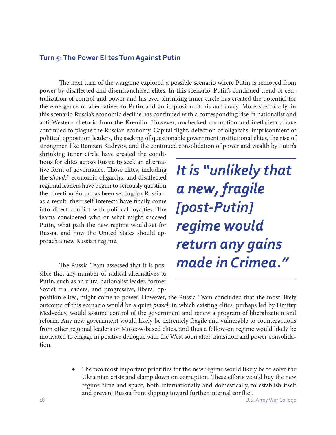#### **Turn 5: The Power Elites Turn Against Putin**

The next turn of the wargame explored a possible scenario where Putin is removed from power by disaffected and disenfranchised elites. In this scenario, Putin's continued trend of centralization of control and power and his ever-shrinking inner circle has created the potential for the emergence of alternatives to Putin and an implosion of his autocracy. More specifically, in this scenario Russia's economic decline has continued with a corresponding rise in nationalist and anti-Western rhetoric from the Kremlin. However, unchecked corruption and inefficiency have continued to plague the Russian economy. Capital flight, defection of oligarchs, imprisonment of political opposition leaders, the sacking of questionable government institutional elites, the rise of strongmen like Ramzan Kadryov, and the continued consolidation of power and wealth by Putin's

shrinking inner circle have created the conditions for elites across Russia to seek an alternative form of governance. Those elites, including the *siloviki*, economic oligarchs, and disaffected regional leaders have begun to seriously question the direction Putin has been setting for Russia – as a result, their self-interests have finally come into direct conflict with political loyalties. The teams considered who or what might succeed Putin, what path the new regime would set for Russia, and how the United States should approach a new Russian regime.

The Russia Team assessed that it is possible that any number of radical alternatives to Putin, such as an ultra-nationalist leader, former Soviet era leaders, and progressive, liberal op-

*It is "unlikely that a new, fragile [post-Putin] regime would return any gains made in Crimea."*

position elites, might come to power. However, the Russia Team concluded that the most likely outcome of this scenario would be a quiet *putsch* in which existing elites, perhaps led by Dmitry Medvedev, would assume control of the government and renew a program of liberalization and reform. Any new government would likely be extremely fragile and vulnerable to counteractions from other regional leaders or Moscow-based elites, and thus a follow-on regime would likely be motivated to engage in positive dialogue with the West soon after transition and power consolidation.

> • The two most important priorities for the new regime would likely be to solve the Ukrainian crisis and clamp down on corruption. These efforts would buy the new regime time and space, both internationally and domestically, to establish itself and prevent Russia from slipping toward further internal conflict.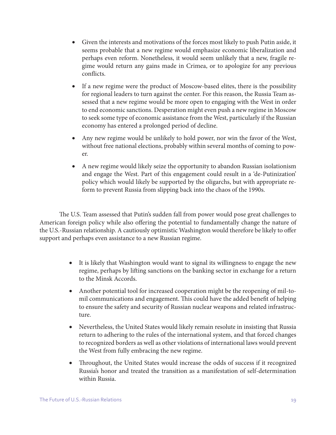- • Given the interests and motivations of the forces most likely to push Putin aside, it seems probable that a new regime would emphasize economic liberalization and perhaps even reform. Nonetheless, it would seem unlikely that a new, fragile regime would return any gains made in Crimea, or to apologize for any previous conflicts.
- If a new regime were the product of Moscow-based elites, there is the possibility for regional leaders to turn against the center. For this reason, the Russia Team assessed that a new regime would be more open to engaging with the West in order to end economic sanctions. Desperation might even push a new regime in Moscow to seek some type of economic assistance from the West, particularly if the Russian economy has entered a prolonged period of decline.
- Any new regime would be unlikely to hold power, nor win the favor of the West, without free national elections, probably within several months of coming to power.
- A new regime would likely seize the opportunity to abandon Russian isolationism and engage the West. Part of this engagement could result in a 'de-Putinization' policy which would likely be supported by the oligarchs, but with appropriate reform to prevent Russia from slipping back into the chaos of the 1990s.

The U.S. Team assessed that Putin's sudden fall from power would pose great challenges to American foreign policy while also offering the potential to fundamentally change the nature of the U.S.-Russian relationship. A cautiously optimistic Washington would therefore be likely to offer support and perhaps even assistance to a new Russian regime.

- It is likely that Washington would want to signal its willingness to engage the new regime, perhaps by lifting sanctions on the banking sector in exchange for a return to the Minsk Accords.
- Another potential tool for increased cooperation might be the reopening of mil-tomil communications and engagement. This could have the added benefit of helping to ensure the safety and security of Russian nuclear weapons and related infrastructure.
- Nevertheless, the United States would likely remain resolute in insisting that Russia return to adhering to the rules of the international system, and that forced changes to recognized borders as well as other violations of international laws would prevent the West from fully embracing the new regime.
- Throughout, the United States would increase the odds of success if it recognized Russia's honor and treated the transition as a manifestation of self-determination within Russia.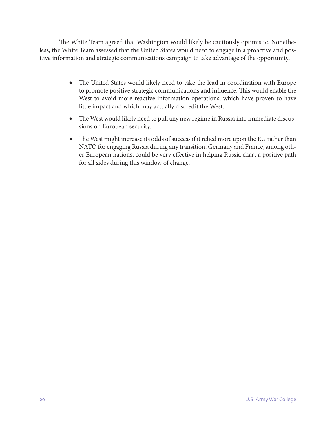The White Team agreed that Washington would likely be cautiously optimistic. Nonetheless, the White Team assessed that the United States would need to engage in a proactive and positive information and strategic communications campaign to take advantage of the opportunity.

- The United States would likely need to take the lead in coordination with Europe to promote positive strategic communications and influence. This would enable the West to avoid more reactive information operations, which have proven to have little impact and which may actually discredit the West.
- The West would likely need to pull any new regime in Russia into immediate discussions on European security.
- The West might increase its odds of success if it relied more upon the EU rather than NATO for engaging Russia during any transition. Germany and France, among other European nations, could be very effective in helping Russia chart a positive path for all sides during this window of change.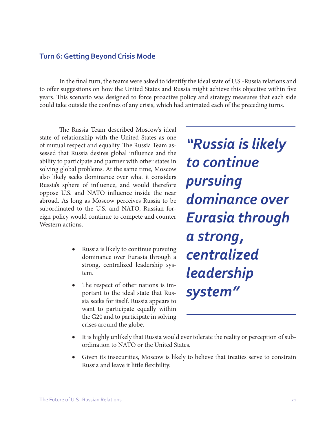#### **Turn 6: Getting Beyond Crisis Mode**

In the final turn, the teams were asked to identify the ideal state of U.S.-Russia relations and to offer suggestions on how the United States and Russia might achieve this objective within five years. This scenario was designed to force proactive policy and strategy measures that each side could take outside the confines of any crisis, which had animated each of the preceding turns.

The Russia Team described Moscow's ideal state of relationship with the United States as one of mutual respect and equality. The Russia Team assessed that Russia desires global influence and the ability to participate and partner with other states in solving global problems. At the same time, Moscow also likely seeks dominance over what it considers Russia's sphere of influence, and would therefore oppose U.S. and NATO influence inside the near abroad. As long as Moscow perceives Russia to be subordinated to the U.S. and NATO, Russian foreign policy would continue to compete and counter Western actions.

- **EXECUTE:** Russia is likely to continue pursuing dominance over Eurasia through a strong, centralized leadership system.
- The respect of other nations is important to the ideal state that Russia seeks for itself. Russia appears to want to participate equally within the G20 and to participate in solving crises around the globe.

*"Russia is likely to continue pursuing dominance over Eurasia through a strong, centralized leadership system"*

- It is highly unlikely that Russia would ever tolerate the reality or perception of subordination to NATO or the United States.
- Given its insecurities, Moscow is likely to believe that treaties serve to constrain Russia and leave it little flexibility.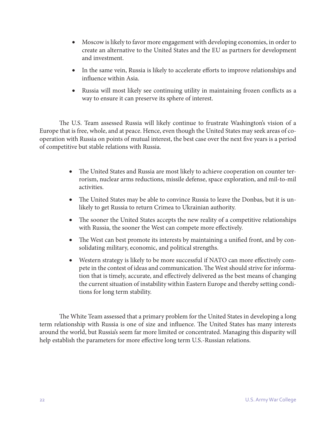- Moscow is likely to favor more engagement with developing economies, in order to create an alternative to the United States and the EU as partners for development and investment.
- In the same vein, Russia is likely to accelerate efforts to improve relationships and influence within Asia.
- Russia will most likely see continuing utility in maintaining frozen conflicts as a way to ensure it can preserve its sphere of interest.

The U.S. Team assessed Russia will likely continue to frustrate Washington's vision of a Europe that is free, whole, and at peace. Hence, even though the United States may seek areas of cooperation with Russia on points of mutual interest, the best case over the next five years is a period of competitive but stable relations with Russia.

- The United States and Russia are most likely to achieve cooperation on counter terrorism, nuclear arms reductions, missile defense, space exploration, and mil-to-mil activities.
- The United States may be able to convince Russia to leave the Donbas, but it is unlikely to get Russia to return Crimea to Ukrainian authority.
- The sooner the United States accepts the new reality of a competitive relationships with Russia, the sooner the West can compete more effectively.
- The West can best promote its interests by maintaining a unified front, and by consolidating military, economic, and political strengths.
- Western strategy is likely to be more successful if NATO can more effectively compete in the contest of ideas and communication. The West should strive for information that is timely, accurate, and effectively delivered as the best means of changing the current situation of instability within Eastern Europe and thereby setting conditions for long term stability.

The White Team assessed that a primary problem for the United States in developing a long term relationship with Russia is one of size and influence. The United States has many interests around the world, but Russia's seem far more limited or concentrated. Managing this disparity will help establish the parameters for more effective long term U.S.-Russian relations.